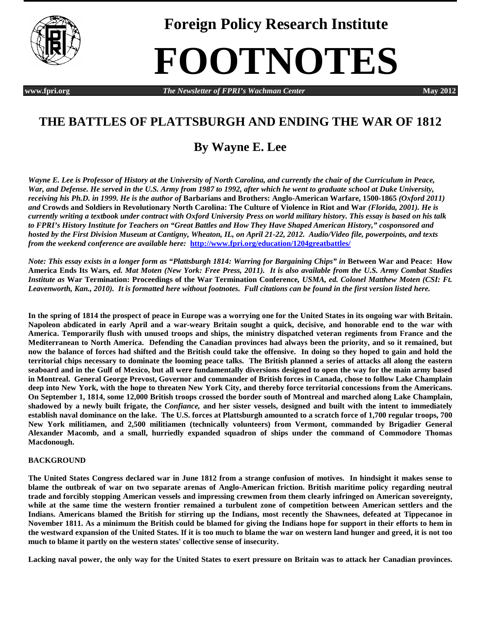

**Foreign Policy Research Institute**

# **FOOTNOTES**

*WWW.fpri.org* **<b>***The Newsletter of FPRI's Wachman Center* **May 2012** 

## **THE BATTLES OF PLATTSBURGH AND ENDING THE WAR OF 1812**

## **By Wayne E. Lee**

*Wayne E. Lee is Professor of History at the University of North Carolina, and currently the chair of the Curriculum in Peace, War, and Defense. He served in the U.S. Army from 1987 to 1992, after which he went to graduate school at Duke University, receiving his Ph.D. in 1999. He is the author of Barbarians and Brothers: Anglo-American Warfare, 1500-1865 (Oxford 2011) and* **Crowds and Soldiers in Revolutionary North Carolina: The Culture of Violence in Riot and War** *(Florida, 2001). He is currently writing a textbook under contract with Oxford University Press on world military history. This essay is based on his talk to FPRI's History Institute for Teachers on "Great Battles and How They Have Shaped American History," cosponsored and hosted by the First Division Museum at Cantigny, Wheaton, IL, on April 21-22, 2012. Audio/Video file, powerpoints, and texts from the weekend conference are available here:* **<http://www.fpri.org/education/1204greatbattles/>**

*Note: This essay exists in a longer form as "Plattsburgh 1814: Warring for Bargaining Chips" in* **Between War and Peace: How America Ends Its Wars***, ed. Mat Moten (New York: Free Press, 2011). It is also available from the U.S. Army Combat Studies Institute as* **War Termination: Proceedings of the War Termination Conference***, USMA, ed. Colonel Matthew Moten (CSI: Ft. Leavenworth, Kan., 2010). It is formatted here without footnotes. Full citations can be found in the first version listed here.*

**In the spring of 1814 the prospect of peace in Europe was a worrying one for the United States in its ongoing war with Britain. Napoleon abdicated in early April and a war-weary Britain sought a quick, decisive, and honorable end to the war with America. Temporarily flush with unused troops and ships, the ministry dispatched veteran regiments from France and the Mediterranean to North America. Defending the Canadian provinces had always been the priority, and so it remained, but now the balance of forces had shifted and the British could take the offensive. In doing so they hoped to gain and hold the territorial chips necessary to dominate the looming peace talks. The British planned a series of attacks all along the eastern seaboard and in the Gulf of Mexico, but all were fundamentally diversions designed to open the way for the main army based in Montreal. General George Prevost, Governor and commander of British forces in Canada, chose to follow Lake Champlain deep into New York, with the hope to threaten New York City, and thereby force territorial concessions from the Americans. On September 1, 1814, some 12,000 British troops crossed the border south of Montreal and marched along Lake Champlain, shadowed by a newly built frigate, the** *Confiance,* **and her sister vessels, designed and built with the intent to immediately establish naval dominance on the lake. The U.S. forces at Plattsburgh amounted to a scratch force of 1,700 regular troops, 700 New York militiamen, and 2,500 militiamen (technically volunteers) from Vermont, commanded by Brigadier General Alexander Macomb, and a small, hurriedly expanded squadron of ships under the command of Commodore Thomas Macdonough.** 

### **BACKGROUND**

**The United States Congress declared war in June 1812 from a strange confusion of motives. In hindsight it makes sense to blame the outbreak of war on two separate arenas of Anglo-American friction. British maritime policy regarding neutral trade and forcibly stopping American vessels and impressing crewmen from them clearly infringed on American sovereignty, while at the same time the western frontier remained a turbulent zone of competition between American settlers and the Indians. Americans blamed the British for stirring up the Indians, most recently the Shawnees, defeated at Tippecanoe in November 1811. As a minimum the British could be blamed for giving the Indians hope for support in their efforts to hem in the westward expansion of the United States. If it is too much to blame the war on western land hunger and greed, it is not too much to blame it partly on the western states' collective sense of insecurity.** 

**Lacking naval power, the only way for the United States to exert pressure on Britain was to attack her Canadian provinces.**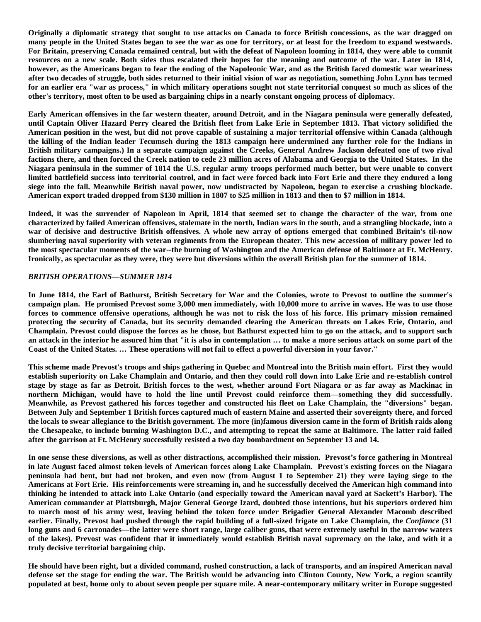**Originally a diplomatic strategy that sought to use attacks on Canada to force British concessions, as the war dragged on many people in the United States began to see the war as one for territory, or at least for the freedom to expand westwards. For Britain, preserving Canada remained central, but with the defeat of Napoleon looming in 1814, they were able to commit resources on a new scale. Both sides thus escalated their hopes for the meaning and outcome of the war. Later in 1814, however, as the Americans began to fear the ending of the Napoleonic War, and as the British faced domestic war weariness after two decades of struggle, both sides returned to their initial vision of war as negotiation, something John Lynn has termed for an earlier era "war as process," in which military operations sought not state territorial conquest so much as slices of the other's territory, most often to be used as bargaining chips in a nearly constant ongoing process of diplomacy.** 

**Early American offensives in the far western theater, around Detroit, and in the Niagara peninsula were generally defeated, until Captain Oliver Hazard Perry cleared the British fleet from Lake Erie in September 1813. That victory solidified the American position in the west, but did not prove capable of sustaining a major territorial offensive within Canada (although the killing of the Indian leader Tecumseh during the 1813 campaign here undermined any further role for the Indians in British military campaigns.) In a separate campaign against the Creeks, General Andrew Jackson defeated one of two rival factions there, and then forced the Creek nation to cede 23 million acres of Alabama and Georgia to the United States. In the Niagara peninsula in the summer of 1814 the U.S. regular army troops performed much better, but were unable to convert limited battlefield success into territorial control, and in fact were forced back into Fort Erie and there they endured a long siege into the fall. Meanwhile British naval power, now undistracted by Napoleon, began to exercise a crushing blockade. American export traded dropped from \$130 million in 1807 to \$25 million in 1813 and then to \$7 million in 1814.** 

**Indeed, it was the surrender of Napoleon in April, 1814 that seemed set to change the character of the war, from one characterized by failed American offensives, stalemate in the north, Indian wars in the south, and a strangling blockade, into a war of decisive and destructive British offensives. A whole new array of options emerged that combined Britain's til-now slumbering naval superiority with veteran regiments from the European theater. This new accession of military power led to the most spectacular moments of the war--the burning of Washington and the American defense of Baltimore at Ft. McHenry. Ironically, as spectacular as they were, they were but diversions within the overall British plan for the summer of 1814.**

#### *BRITISH OPERATIONS—SUMMER 1814*

**In June 1814, the Earl of Bathurst, British Secretary for War and the Colonies, wrote to Prevost to outline the summer's campaign plan. He promised Prevost some 3,000 men immediately, with 10,000 more to arrive in waves. He was to use those forces to commence offensive operations, although he was not to risk the loss of his force. His primary mission remained protecting the security of Canada, but its security demanded clearing the American threats on Lakes Erie, Ontario, and Champlain. Prevost could dispose the forces as he chose, but Bathurst expected him to go on the attack, and to support such an attack in the interior he assured him that "it is also in contemplation … to make a more serious attack on some part of the Coast of the United States. … These operations will not fail to effect a powerful diversion in your favor."**

**This scheme made Prevost's troops and ships gathering in Quebec and Montreal into the British main effort. First they would establish superiority on Lake Champlain and Ontario, and then they could roll down into Lake Erie and re-establish control stage by stage as far as Detroit. British forces to the west, whether around Fort Niagara or as far away as Mackinac in northern Michigan, would have to hold the line until Prevost could reinforce them—something they did successfully. Meanwhile, as Prevost gathered his forces together and constructed his fleet on Lake Champlain, the "diversions" began. Between July and September 1 British forces captured much of eastern Maine and asserted their sovereignty there, and forced the locals to swear allegiance to the British government. The more (in)famous diversion came in the form of British raids along the Chesapeake, to include burning Washington D.C., and attempting to repeat the same at Baltimore. The latter raid failed after the garrison at Ft. McHenry successfully resisted a two day bombardment on September 13 and 14.** 

**In one sense these diversions, as well as other distractions, accomplished their mission. Prevost's force gathering in Montreal in late August faced almost token levels of American forces along Lake Champlain. Prevost's existing forces on the Niagara peninsula had bent, but had not broken, and even now (from August 1 to September 21) they were laying siege to the Americans at Fort Erie. His reinforcements were streaming in, and he successfully deceived the American high command into thinking he intended to attack into Lake Ontario (and especially toward the American naval yard at Sackett's Harbor). The American commander at Plattsburgh, Major General George Izard, doubted those intentions, but his superiors ordered him to march most of his army west, leaving behind the token force under Brigadier General Alexander Macomb described earlier. Finally, Prevost had pushed through the rapid building of a full-sized frigate on Lake Champlain, the** *Confiance* **(31 long guns and 6 carronades—the latter were short range, large caliber guns, that were extremely useful in the narrow waters of the lakes). Prevost was confident that it immediately would establish British naval supremacy on the lake, and with it a truly decisive territorial bargaining chip.** 

**He should have been right, but a divided command, rushed construction, a lack of transports, and an inspired American naval defense set the stage for ending the war. The British would be advancing into Clinton County, New York, a region scantily populated at best, home only to about seven people per square mile. A near-contemporary military writer in Europe suggested**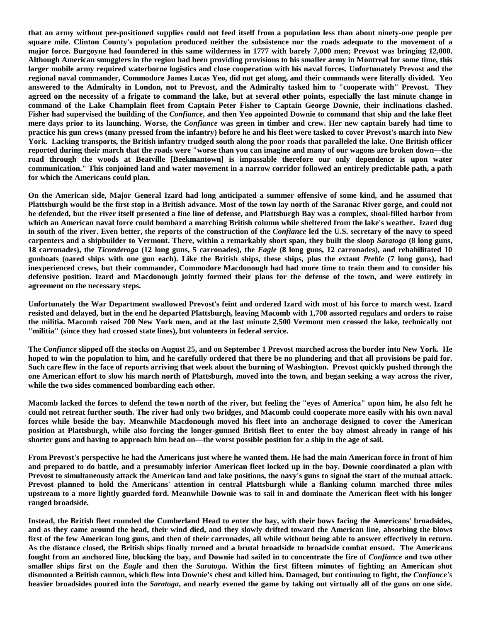**that an army without pre-positioned supplies could not feed itself from a population less than about ninety-one people per square mile. Clinton County's population produced neither the subsistence nor the roads adequate to the movement of a major force. Burgoyne had foundered in this same wilderness in 1777 with barely 7,000 men; Prevost was bringing 12,000. Although American smugglers in the region had been providing provisions to his smaller army in Montreal for some time, this larger mobile army required waterborne logistics and close cooperation with his naval forces. Unfortunately Prevost and the regional naval commander, Commodore James Lucas Yeo, did not get along, and their commands were literally divided. Yeo answered to the Admiralty in London, not to Prevost, and the Admiralty tasked him to "cooperate with" Prevost. They agreed on the necessity of a frigate to command the lake, but at several other points, especially the last minute change in command of the Lake Champlain fleet from Captain Peter Fisher to Captain George Downie, their inclinations clashed. Fisher had supervised the building of the** *Confiance***, and then Yeo appointed Downie to command that ship and the lake fleet mere days prior to its launching. Worse, the** *Confiance* **was green in timber and crew. Her new captain barely had time to practice his gun crews (many pressed from the infantry) before he and his fleet were tasked to cover Prevost's march into New York. Lacking transports, the British infantry trudged south along the poor roads that paralleled the lake. One British officer reported during their march that the roads were "worse than you can imagine and many of our wagons are broken down—the road through the woods at Beatville [Beekmantown] is impassable therefore our only dependence is upon water communication." This conjoined land and water movement in a narrow corridor followed an entirely predictable path, a path for which the Americans could plan.**

**On the American side, Major General Izard had long anticipated a summer offensive of some kind, and he assumed that Plattsburgh would be the first stop in a British advance. Most of the town lay north of the Saranac River gorge, and could not be defended, but the river itself presented a fine line of defense, and Plattsburgh Bay was a complex, shoal-filled harbor from which an American naval force could bombard a marching British column while sheltered from the lake's weather. Izard dug in south of the river. Even better, the reports of the construction of the** *Confiance* **led the U.S. secretary of the navy to speed carpenters and a shipbuilder to Vermont. There, within a remarkably short span, they built the sloop** *Saratoga* **(8 long guns, 18 carronades), the** *Ticonderoga* **(12 long guns, 5 carronades), the** *Eagle* **(8 long guns, 12 carronades), and rehabilitated 10 gunboats (oared ships with one gun each). Like the British ships, these ships, plus the extant** *Preble* **(7 long guns), had inexperienced crews, but their commander, Commodore Macdonough had had more time to train them and to consider his defensive position. Izard and Macdonough jointly formed their plans for the defense of the town, and were entirely in agreement on the necessary steps.**

**Unfortunately the War Department swallowed Prevost's feint and ordered Izard with most of his force to march west. Izard resisted and delayed, but in the end he departed Plattsburgh, leaving Macomb with 1,700 assorted regulars and orders to raise the militia. Macomb raised 700 New York men, and at the last minute 2,500 Vermont men crossed the lake, technically not "militia" (since they had crossed state lines), but volunteers in federal service.** 

**The** *Confiance* **slipped off the stocks on August 25, and on September 1 Prevost marched across the border into New York. He hoped to win the population to him, and he carefully ordered that there be no plundering and that all provisions be paid for. Such care flew in the face of reports arriving that week about the burning of Washington. Prevost quickly pushed through the one American effort to slow his march north of Plattsburgh, moved into the town, and began seeking a way across the river, while the two sides commenced bombarding each other.** 

**Macomb lacked the forces to defend the town north of the river, but feeling the "eyes of America" upon him, he also felt he could not retreat further south. The river had only two bridges, and Macomb could cooperate more easily with his own naval forces while beside the bay. Meanwhile Macdonough moved his fleet into an anchorage designed to cover the American position at Plattsburgh, while also forcing the longer-gunned British fleet to enter the bay almost already in range of his shorter guns and having to approach him head on—the worst possible position for a ship in the age of sail.** 

**From Prevost's perspective he had the Americans just where he wanted them. He had the main American force in front of him and prepared to do battle, and a presumably inferior American fleet locked up in the bay. Downie coordinated a plan with Prevost to simultaneously attack the American land and lake positions, the navy's guns to signal the start of the mutual attack. Prevost planned to hold the Americans' attention in central Plattsburgh while a flanking column marched three miles upstream to a more lightly guarded ford. Meanwhile Downie was to sail in and dominate the American fleet with his longer ranged broadside.** 

**Instead, the British fleet rounded the Cumberland Head to enter the bay, with their bows facing the Americans' broadsides, and as they came around the head, their wind died, and they slowly drifted toward the American line, absorbing the blows first of the few American long guns, and then of their carronades, all while without being able to answer effectively in return. As the distance closed, the British ships finally turned and a brutal broadside to broadside combat ensued. The Americans fought from an anchored line, blocking the bay, and Downie had sailed in to concentrate the fire of** *Confiance* **and two other smaller ships first on the** *Eagle* **and then the** *Saratoga.* **Within the first fifteen minutes of fighting an American shot dismounted a British cannon, which flew into Downie's chest and killed him. Damaged, but continuing to fight, the** *Confiance's* **heavier broadsides poured into the** *Saratoga***, and nearly evened the game by taking out virtually all of the guns on one side.**